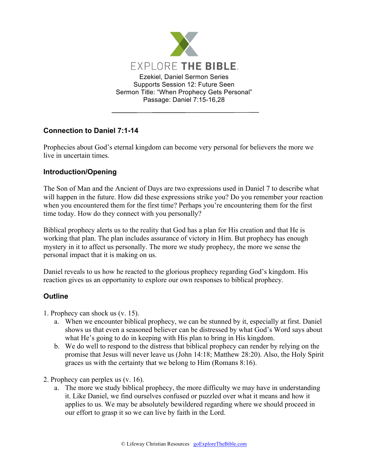

## **Connection to Daniel 7:1-14**

Prophecies about God's eternal kingdom can become very personal for believers the more we live in uncertain times.

## **Introduction/Opening**

The Son of Man and the Ancient of Days are two expressions used in Daniel 7 to describe what will happen in the future. How did these expressions strike you? Do you remember your reaction when you encountered them for the first time? Perhaps you're encountering them for the first time today. How do they connect with you personally?

Biblical prophecy alerts us to the reality that God has a plan for His creation and that He is working that plan. The plan includes assurance of victory in Him. But prophecy has enough mystery in it to affect us personally. The more we study prophecy, the more we sense the personal impact that it is making on us.

Daniel reveals to us how he reacted to the glorious prophecy regarding God's kingdom. His reaction gives us an opportunity to explore our own responses to biblical prophecy.

## **Outline**

- 1. Prophecy can shock us (v. 15).
	- a. When we encounter biblical prophecy, we can be stunned by it, especially at first. Daniel shows us that even a seasoned believer can be distressed by what God's Word says about what He's going to do in keeping with His plan to bring in His kingdom.
	- b. We do well to respond to the distress that biblical prophecy can render by relying on the promise that Jesus will never leave us (John 14:18; Matthew 28:20). Also, the Holy Spirit graces us with the certainty that we belong to Him (Romans 8:16).
- 2. Prophecy can perplex us (v. 16).
	- a. The more we study biblical prophecy, the more difficulty we may have in understanding it. Like Daniel, we find ourselves confused or puzzled over what it means and how it applies to us. We may be absolutely bewildered regarding where we should proceed in our effort to grasp it so we can live by faith in the Lord.